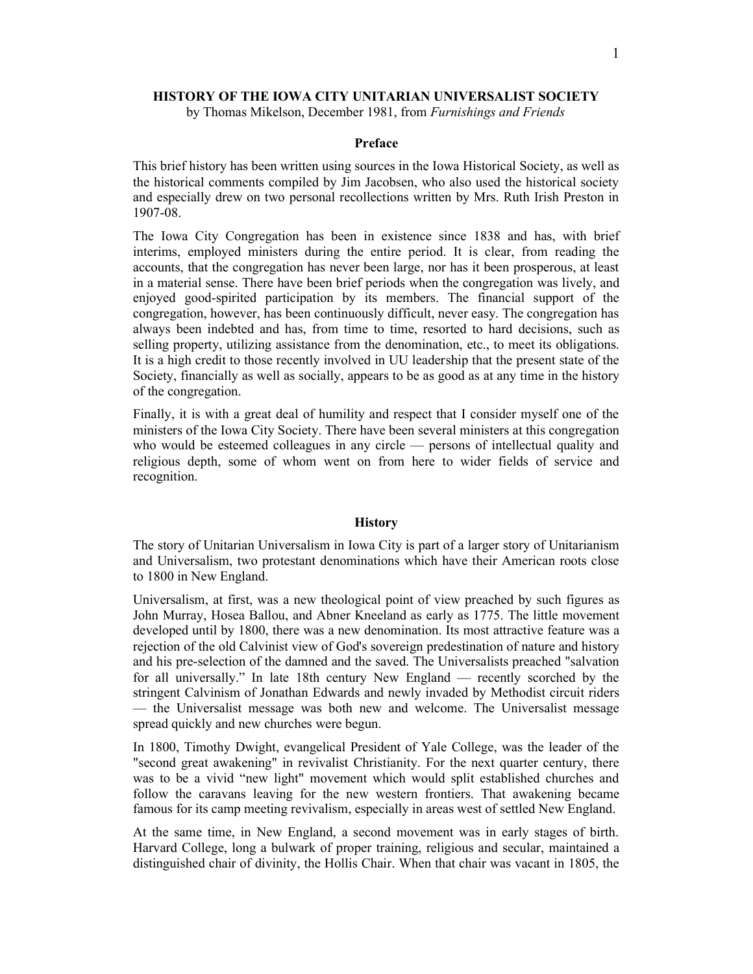## HISTORY OF THE IOWA CITY UNITARIAN UNIVERSALIST SOCIETY

by Thomas Mikelson, December 1981, from Furnishings and Friends

## Preface

This brief history has been written using sources in the Iowa Historical Society, as well as the historical comments compiled by Jim Jacobsen, who also used the historical society and especially drew on two personal recollections written by Mrs. Ruth Irish Preston in 1907-08.

The Iowa City Congregation has been in existence since 1838 and has, with brief interims, employed ministers during the entire period. It is clear, from reading the accounts, that the congregation has never been large, nor has it been prosperous, at least in a material sense. There have been brief periods when the congregation was lively, and enjoyed good-spirited participation by its members. The financial support of the congregation, however, has been continuously difficult, never easy. The congregation has always been indebted and has, from time to time, resorted to hard decisions, such as selling property, utilizing assistance from the denomination, etc., to meet its obligations. It is a high credit to those recently involved in UU leadership that the present state of the Society, financially as well as socially, appears to be as good as at any time in the history of the congregation.

Finally, it is with a great deal of humility and respect that I consider myself one of the ministers of the Iowa City Society. There have been several ministers at this congregation who would be esteemed colleagues in any circle — persons of intellectual quality and religious depth, some of whom went on from here to wider fields of service and recognition.

## **History**

The story of Unitarian Universalism in Iowa City is part of a larger story of Unitarianism and Universalism, two protestant denominations which have their American roots close to 1800 in New England.

Universalism, at first, was a new theological point of view preached by such figures as John Murray, Hosea Ballou, and Abner Kneeland as early as 1775. The little movement developed until by 1800, there was a new denomination. Its most attractive feature was a rejection of the old Calvinist view of God's sovereign predestination of nature and history and his pre-selection of the damned and the saved. The Universalists preached "salvation for all universally." In late 18th century New England — recently scorched by the stringent Calvinism of Jonathan Edwards and newly invaded by Methodist circuit riders — the Universalist message was both new and welcome. The Universalist message spread quickly and new churches were begun.

In 1800, Timothy Dwight, evangelical President of Yale College, was the leader of the "second great awakening" in revivalist Christianity. For the next quarter century, there was to be a vivid "new light" movement which would split established churches and follow the caravans leaving for the new western frontiers. That awakening became famous for its camp meeting revivalism, especially in areas west of settled New England.

At the same time, in New England, a second movement was in early stages of birth. Harvard College, long a bulwark of proper training, religious and secular, maintained a distinguished chair of divinity, the Hollis Chair. When that chair was vacant in 1805, the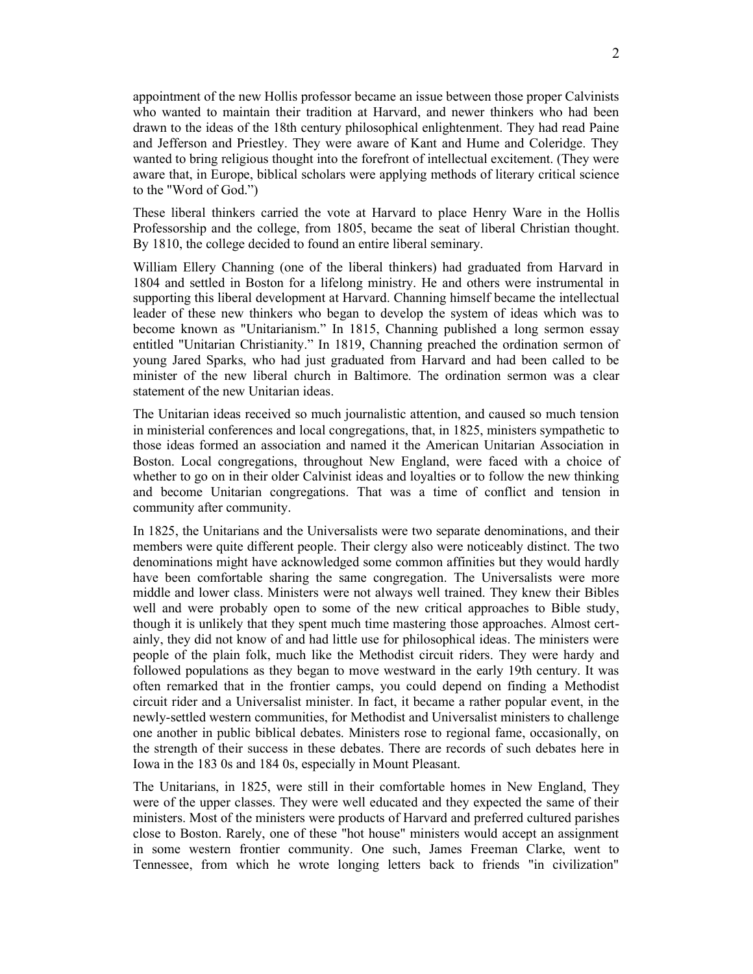appointment of the new Hollis professor became an issue between those proper Calvinists who wanted to maintain their tradition at Harvard, and newer thinkers who had been drawn to the ideas of the 18th century philosophical enlightenment. They had read Paine and Jefferson and Priestley. They were aware of Kant and Hume and Coleridge. They wanted to bring religious thought into the forefront of intellectual excitement. (They were aware that, in Europe, biblical scholars were applying methods of literary critical science to the "Word of God.")

These liberal thinkers carried the vote at Harvard to place Henry Ware in the Hollis Professorship and the college, from 1805, became the seat of liberal Christian thought. By 1810, the college decided to found an entire liberal seminary.

William Ellery Channing (one of the liberal thinkers) had graduated from Harvard in 1804 and settled in Boston for a lifelong ministry. He and others were instrumental in supporting this liberal development at Harvard. Channing himself became the intellectual leader of these new thinkers who began to develop the system of ideas which was to become known as "Unitarianism." In 1815, Channing published a long sermon essay entitled "Unitarian Christianity." In 1819, Channing preached the ordination sermon of young Jared Sparks, who had just graduated from Harvard and had been called to be minister of the new liberal church in Baltimore. The ordination sermon was a clear statement of the new Unitarian ideas.

The Unitarian ideas received so much journalistic attention, and caused so much tension in ministerial conferences and local congregations, that, in 1825, ministers sympathetic to those ideas formed an association and named it the American Unitarian Association in Boston. Local congregations, throughout New England, were faced with a choice of whether to go on in their older Calvinist ideas and loyalties or to follow the new thinking and become Unitarian congregations. That was a time of conflict and tension in community after community.

In 1825, the Unitarians and the Universalists were two separate denominations, and their members were quite different people. Their clergy also were noticeably distinct. The two denominations might have acknowledged some common affinities but they would hardly have been comfortable sharing the same congregation. The Universalists were more middle and lower class. Ministers were not always well trained. They knew their Bibles well and were probably open to some of the new critical approaches to Bible study, though it is unlikely that they spent much time mastering those approaches. Almost certainly, they did not know of and had little use for philosophical ideas. The ministers were people of the plain folk, much like the Methodist circuit riders. They were hardy and followed populations as they began to move westward in the early 19th century. It was often remarked that in the frontier camps, you could depend on finding a Methodist circuit rider and a Universalist minister. In fact, it became a rather popular event, in the newly-settled western communities, for Methodist and Universalist ministers to challenge one another in public biblical debates. Ministers rose to regional fame, occasionally, on the strength of their success in these debates. There are records of such debates here in Iowa in the 183 0s and 184 0s, especially in Mount Pleasant.

The Unitarians, in 1825, were still in their comfortable homes in New England, They were of the upper classes. They were well educated and they expected the same of their ministers. Most of the ministers were products of Harvard and preferred cultured parishes close to Boston. Rarely, one of these "hot house" ministers would accept an assignment in some western frontier community. One such, James Freeman Clarke, went to Tennessee, from which he wrote longing letters back to friends "in civilization"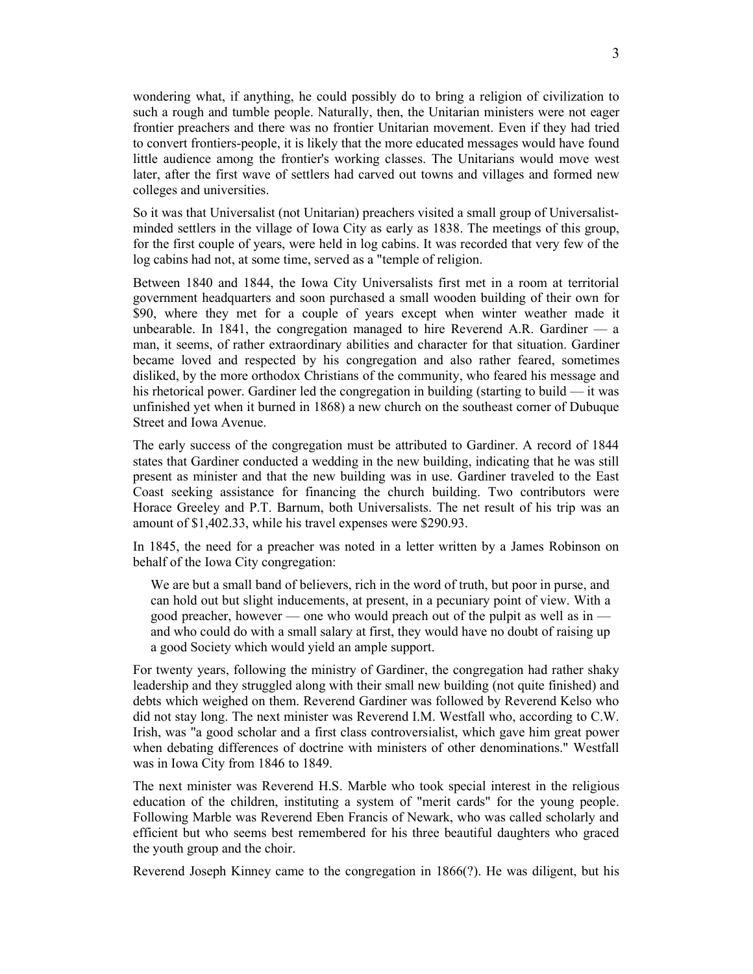wondering what, if anything, he could possibly do to bring a religion of civilization to such a rough and tumble people. Naturally, then, the Unitarian ministers were not eager frontier preachers and there was no frontier Unitarian movement. Even if they had tried to convert frontiers-people, it is likely that the more educated messages would have found little audience among the frontier's working classes. The Unitarians would move west later, after the first wave of settlers had carved out towns and villages and formed new colleges and universities.

So it was that Universalist (not Unitarian) preachers visited a small group of Universalistminded settlers in the village of Iowa City as early as 1838. The meetings of this group, for the first couple of years, were held in log cabins. It was recorded that very few of the log cabins had not, at some time, served as a "temple of religion.

Between 1840 and 1844, the Iowa City Universalists first met in a room at territorial government headquarters and soon purchased a small wooden building of their own for \$90, where they met for a couple of years except when winter weather made it unbearable. In 1841, the congregation managed to hire Reverend A.R. Gardiner  $\overline{a}$  a man, it seems, of rather extraordinary abilities and character for that situation. Gardiner became loved and respected by his congregation and also rather feared, sometimes disliked, by the more orthodox Christians of the community, who feared his message and his rhetorical power. Gardiner led the congregation in building (starting to build — it was unfinished yet when it burned in 1868) a new church on the southeast corner of Dubuque Street and Iowa Avenue.

The early success of the congregation must be attributed to Gardiner. A record of 1844 states that Gardiner conducted a wedding in the new building, indicating that he was still present as minister and that the new building was in use. Gardiner traveled to the East Coast seeking assistance for financing the church building. Two contributors were Horace Greeley and P.T. Barnum, both Universalists. The net result of his trip was an amount of \$1,402.33, while his travel expenses were \$290.93.

In 1845, the need for a preacher was noted in a letter written by a James Robinson on behalf of the Iowa City congregation:

We are but a small band of believers, rich in the word of truth, but poor in purse, and can hold out but slight inducements, at present, in a pecuniary point of view. With a good preacher, however — one who would preach out of the pulpit as well as in and who could do with a small salary at first, they would have no doubt of raising up a good Society which would yield an ample support.

For twenty years, following the ministry of Gardiner, the congregation had rather shaky leadership and they struggled along with their small new building (not quite finished) and debts which weighed on them. Reverend Gardiner was followed by Reverend Kelso who did not stay long. The next minister was Reverend I.M. Westfall who, according to C.W. Irish, was "a good scholar and a first class controversialist, which gave him great power when debating differences of doctrine with ministers of other denominations." Westfall was in Iowa City from 1846 to 1849.

The next minister was Reverend H.S. Marble who took special interest in the religious education of the children, instituting a system of "merit cards" for the young people. Following Marble was Reverend Eben Francis of Newark, who was called scholarly and efficient but who seems best remembered for his three beautiful daughters who graced the youth group and the choir.

Reverend Joseph Kinney came to the congregation in 1866(?). He was diligent, but his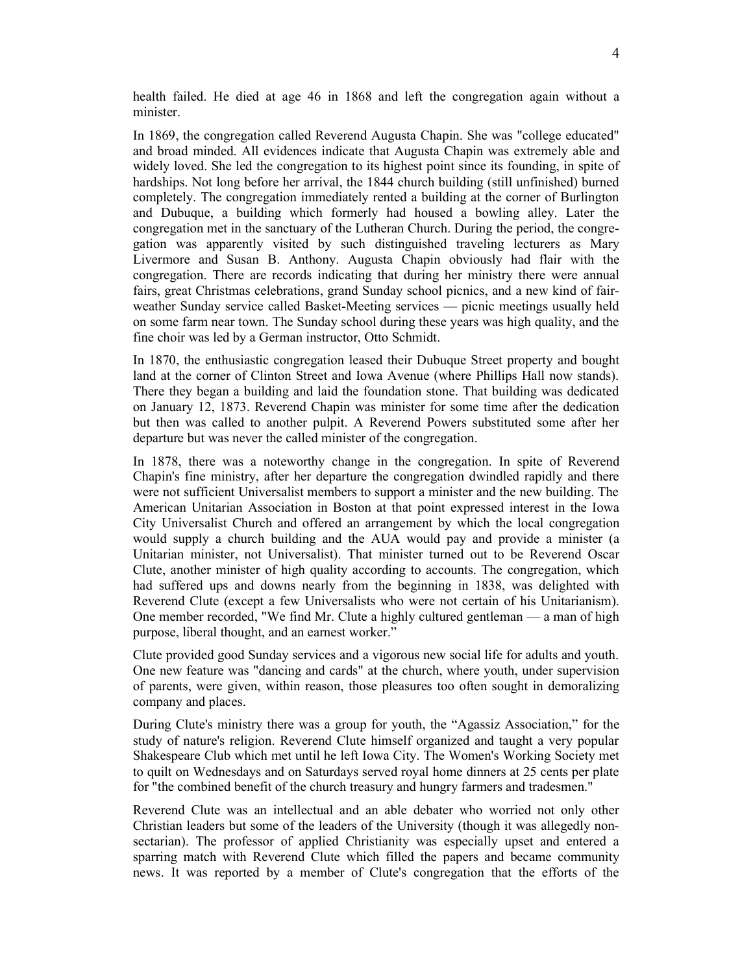health failed. He died at age 46 in 1868 and left the congregation again without a minister.

In 1869, the congregation called Reverend Augusta Chapin. She was "college educated" and broad minded. All evidences indicate that Augusta Chapin was extremely able and widely loved. She led the congregation to its highest point since its founding, in spite of hardships. Not long before her arrival, the 1844 church building (still unfinished) burned completely. The congregation immediately rented a building at the corner of Burlington and Dubuque, a building which formerly had housed a bowling alley. Later the congregation met in the sanctuary of the Lutheran Church. During the period, the congregation was apparently visited by such distinguished traveling lecturers as Mary Livermore and Susan B. Anthony. Augusta Chapin obviously had flair with the congregation. There are records indicating that during her ministry there were annual fairs, great Christmas celebrations, grand Sunday school picnics, and a new kind of fairweather Sunday service called Basket-Meeting services — picnic meetings usually held on some farm near town. The Sunday school during these years was high quality, and the fine choir was led by a German instructor, Otto Schmidt.

In 1870, the enthusiastic congregation leased their Dubuque Street property and bought land at the corner of Clinton Street and Iowa Avenue (where Phillips Hall now stands). There they began a building and laid the foundation stone. That building was dedicated on January 12, 1873. Reverend Chapin was minister for some time after the dedication but then was called to another pulpit. A Reverend Powers substituted some after her departure but was never the called minister of the congregation.

In 1878, there was a noteworthy change in the congregation. In spite of Reverend Chapin's fine ministry, after her departure the congregation dwindled rapidly and there were not sufficient Universalist members to support a minister and the new building. The American Unitarian Association in Boston at that point expressed interest in the Iowa City Universalist Church and offered an arrangement by which the local congregation would supply a church building and the AUA would pay and provide a minister (a Unitarian minister, not Universalist). That minister turned out to be Reverend Oscar Clute, another minister of high quality according to accounts. The congregation, which had suffered ups and downs nearly from the beginning in 1838, was delighted with Reverend Clute (except a few Universalists who were not certain of his Unitarianism). One member recorded, "We find Mr. Clute a highly cultured gentleman — a man of high purpose, liberal thought, and an earnest worker."

Clute provided good Sunday services and a vigorous new social life for adults and youth. One new feature was "dancing and cards" at the church, where youth, under supervision of parents, were given, within reason, those pleasures too often sought in demoralizing company and places.

During Clute's ministry there was a group for youth, the "Agassiz Association," for the study of nature's religion. Reverend Clute himself organized and taught a very popular Shakespeare Club which met until he left Iowa City. The Women's Working Society met to quilt on Wednesdays and on Saturdays served royal home dinners at 25 cents per plate for "the combined benefit of the church treasury and hungry farmers and tradesmen."

Reverend Clute was an intellectual and an able debater who worried not only other Christian leaders but some of the leaders of the University (though it was allegedly nonsectarian). The professor of applied Christianity was especially upset and entered a sparring match with Reverend Clute which filled the papers and became community news. It was reported by a member of Clute's congregation that the efforts of the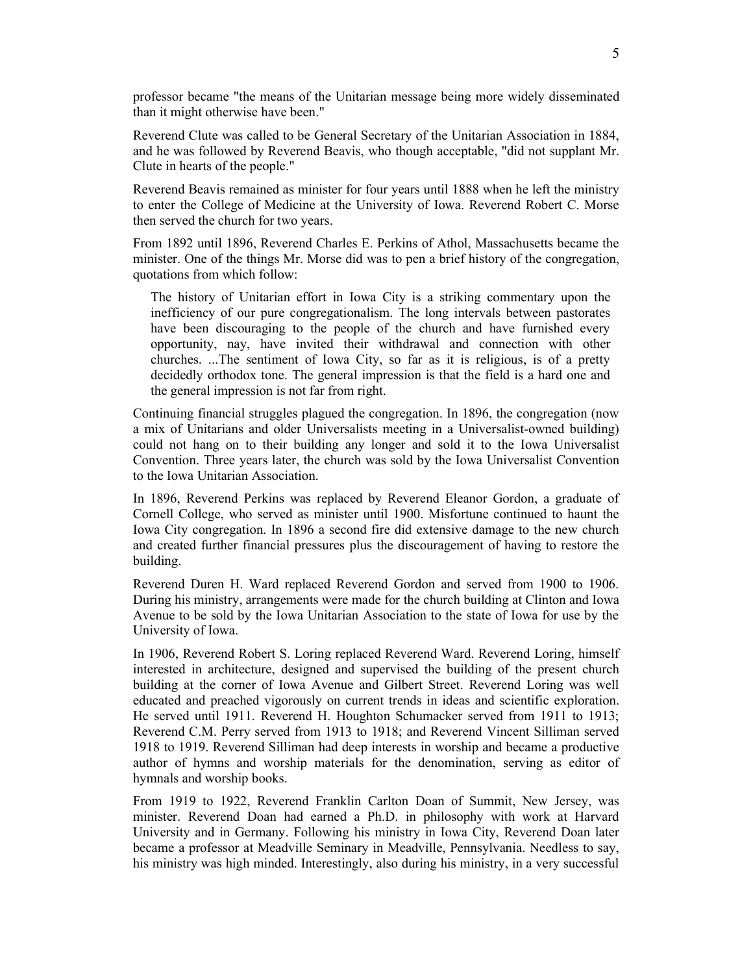professor became "the means of the Unitarian message being more widely disseminated than it might otherwise have been."

Reverend Clute was called to be General Secretary of the Unitarian Association in 1884, and he was followed by Reverend Beavis, who though acceptable, "did not supplant Mr. Clute in hearts of the people."

Reverend Beavis remained as minister for four years until 1888 when he left the ministry to enter the College of Medicine at the University of Iowa. Reverend Robert C. Morse then served the church for two years.

From 1892 until 1896, Reverend Charles E. Perkins of Athol, Massachusetts became the minister. One of the things Mr. Morse did was to pen a brief history of the congregation, quotations from which follow:

The history of Unitarian effort in Iowa City is a striking commentary upon the inefficiency of our pure congregationalism. The long intervals between pastorates have been discouraging to the people of the church and have furnished every opportunity, nay, have invited their withdrawal and connection with other churches. ...The sentiment of Iowa City, so far as it is religious, is of a pretty decidedly orthodox tone. The general impression is that the field is a hard one and the general impression is not far from right.

Continuing financial struggles plagued the congregation. In 1896, the congregation (now a mix of Unitarians and older Universalists meeting in a Universalist-owned building) could not hang on to their building any longer and sold it to the Iowa Universalist Convention. Three years later, the church was sold by the Iowa Universalist Convention to the Iowa Unitarian Association.

In 1896, Reverend Perkins was replaced by Reverend Eleanor Gordon, a graduate of Cornell College, who served as minister until 1900. Misfortune continued to haunt the Iowa City congregation. In 1896 a second fire did extensive damage to the new church and created further financial pressures plus the discouragement of having to restore the building.

Reverend Duren H. Ward replaced Reverend Gordon and served from 1900 to 1906. During his ministry, arrangements were made for the church building at Clinton and Iowa Avenue to be sold by the Iowa Unitarian Association to the state of Iowa for use by the University of Iowa.

In 1906, Reverend Robert S. Loring replaced Reverend Ward. Reverend Loring, himself interested in architecture, designed and supervised the building of the present church building at the corner of Iowa Avenue and Gilbert Street. Reverend Loring was well educated and preached vigorously on current trends in ideas and scientific exploration. He served until 1911. Reverend H. Houghton Schumacker served from 1911 to 1913; Reverend C.M. Perry served from 1913 to 1918; and Reverend Vincent Silliman served 1918 to 1919. Reverend Silliman had deep interests in worship and became a productive author of hymns and worship materials for the denomination, serving as editor of hymnals and worship books.

From 1919 to 1922, Reverend Franklin Carlton Doan of Summit, New Jersey, was minister. Reverend Doan had earned a Ph.D. in philosophy with work at Harvard University and in Germany. Following his ministry in Iowa City, Reverend Doan later became a professor at Meadville Seminary in Meadville, Pennsylvania. Needless to say, his ministry was high minded. Interestingly, also during his ministry, in a very successful